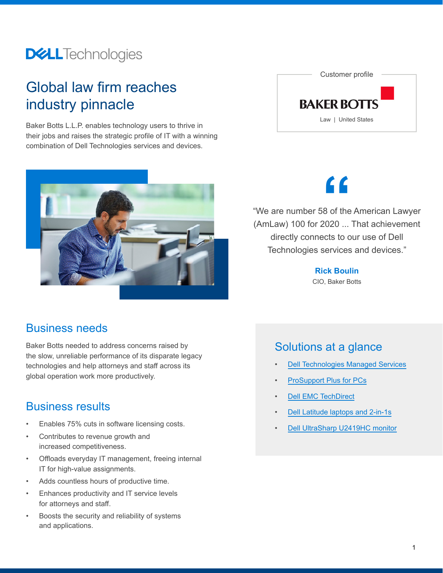### **DELL**Technologies

### Global law firm reaches industry pinnacle

Baker Botts L.L.P. enables technology users to thrive in their jobs and raises the strategic profile of IT with a winning combination of Dell Technologies services and devices.



#### Business needs

Baker Botts needed to address concerns raised by the slow, unreliable performance of its disparate legacy technologies and help attorneys and staff across its global operation work more productively.

#### Business results

- [Dell UltraSharp U2419HC monitor](https://www.delltechnologies.com/en-us/monitors-for-work/index.htm) Enables 75% cuts in software licensing costs.
- Contributes to revenue growth and increased competitiveness.
- Offloads everyday IT management, freeing internal IT for high-value assignments.
- Adds countless hours of productive time.
- Enhances productivity and IT service levels for attorneys and staff.
- Boosts the security and reliability of systems and applications.



# **"**

"We are number 58 of the American Lawyer (AmLaw) 100 for 2020 ... That achievement directly connects to our use of Dell Technologies services and devices."

> **Rick Boulin** CIO, Baker Botts

#### Solutions at a glance

- [Dell Technologies Managed Services](https://www.delltechnologies.com/en-us/services/managed-services/index.htm)
- [ProSupport Plus for PCs](https://www.delltechnologies.com/en-us/services/support-services/prosupport-client-suite.htm)
- [Dell EMC TechDirect](https://www.delltechnologies.com/en-us/services/support-deployment-technologies/tech-direct.htm#tab0=0)
- [Dell Latitude laptops and 2-in-1s](https://www.delltechnologies.com/en-us/business-pcs-laptops/index.htm)
-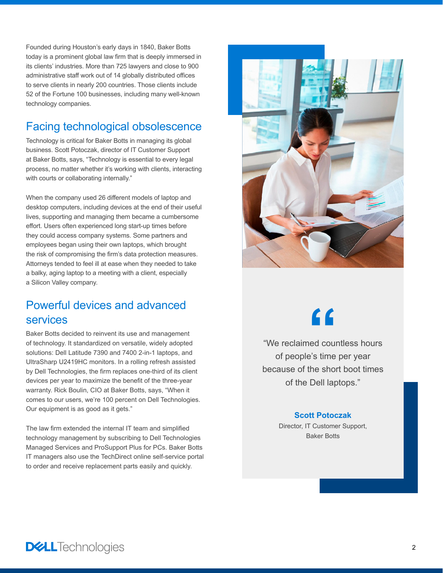Founded during Houston's early days in 1840, Baker Botts today is a prominent global law firm that is deeply immersed in its clients' industries. More than 725 lawyers and close to 900 administrative staff work out of 14 globally distributed offices to serve clients in nearly 200 countries. Those clients include 52 of the Fortune 100 businesses, including many well-known technology companies.

#### Facing technological obsolescence

Technology is critical for Baker Botts in managing its global business. Scott Potoczak, director of IT Customer Support at Baker Botts, says, "Technology is essential to every legal process, no matter whether it's working with clients, interacting with courts or collaborating internally."

When the company used 26 different models of laptop and desktop computers, including devices at the end of their useful lives, supporting and managing them became a cumbersome effort. Users often experienced long start-up times before they could access company systems. Some partners and employees began using their own laptops, which brought the risk of compromising the firm's data protection measures. Attorneys tended to feel ill at ease when they needed to take a balky, aging laptop to a meeting with a client, especially a Silicon Valley company.

#### Powerful devices and advanced services

Baker Botts decided to reinvent its use and management of technology. It standardized on versatile, widely adopted solutions: Dell Latitude 7390 and 7400 2-in-1 laptops, and UltraSharp U2419HC monitors. In a rolling refresh assisted by Dell Technologies, the firm replaces one-third of its client devices per year to maximize the benefit of the three-year warranty. Rick Boulin, CIO at Baker Botts, says, "When it comes to our users, we're 100 percent on Dell Technologies. Our equipment is as good as it gets."

The law firm extended the internal IT team and simplified technology management by subscribing to Dell Technologies Managed Services and ProSupport Plus for PCs. Baker Botts IT managers also use the TechDirect online self-service portal to order and receive replacement parts easily and quickly.



# **"**

"We reclaimed countless hours of people's time per year because of the short boot times of the Dell laptops."

#### **Scott Potoczak**

Director, IT Customer Support, Baker Botts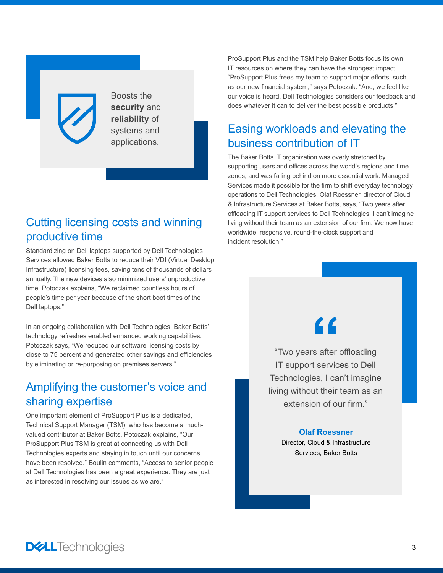Boosts the **security** and **reliability** of systems and applications.

#### Cutting licensing costs and winning productive time

Standardizing on Dell laptops supported by Dell Technologies Services allowed Baker Botts to reduce their VDI (Virtual Desktop Infrastructure) licensing fees, saving tens of thousands of dollars annually. The new devices also minimized users' unproductive time. Potoczak explains, "We reclaimed countless hours of people's time per year because of the short boot times of the Dell laptops."

In an ongoing collaboration with Dell Technologies, Baker Botts' technology refreshes enabled enhanced working capabilities. Potoczak says, "We reduced our software licensing costs by close to 75 percent and generated other savings and efficiencies by eliminating or re-purposing on premises servers."

#### Amplifying the customer's voice and sharing expertise

One important element of ProSupport Plus is a dedicated, Technical Support Manager (TSM), who has become a muchvalued contributor at Baker Botts. Potoczak explains, "Our ProSupport Plus TSM is great at connecting us with Dell Technologies experts and staying in touch until our concerns have been resolved." Boulin comments, "Access to senior people at Dell Technologies has been a great experience. They are just as interested in resolving our issues as we are."

ProSupport Plus and the TSM help Baker Botts focus its own IT resources on where they can have the strongest impact. "ProSupport Plus frees my team to support major efforts, such as our new financial system," says Potoczak. "And, we feel like our voice is heard. Dell Technologies considers our feedback and does whatever it can to deliver the best possible products."

### Easing workloads and elevating the business contribution of IT

The Baker Botts IT organization was overly stretched by supporting users and offices across the world's regions and time zones, and was falling behind on more essential work. Managed Services made it possible for the firm to shift everyday technology operations to Dell Technologies. Olaf Roessner, director of Cloud & Infrastructure Services at Baker Botts, says, "Two years after offloading IT support services to Dell Technologies, I can't imagine living without their team as an extension of our firm. We now have worldwide, responsive, round-the-clock support and incident resolution."

## **"**

"Two years after offloading IT support services to Dell Technologies, I can't imagine living without their team as an extension of our firm."

#### **Olaf Roessner**

Director, Cloud & Infrastructure Services, Baker Botts